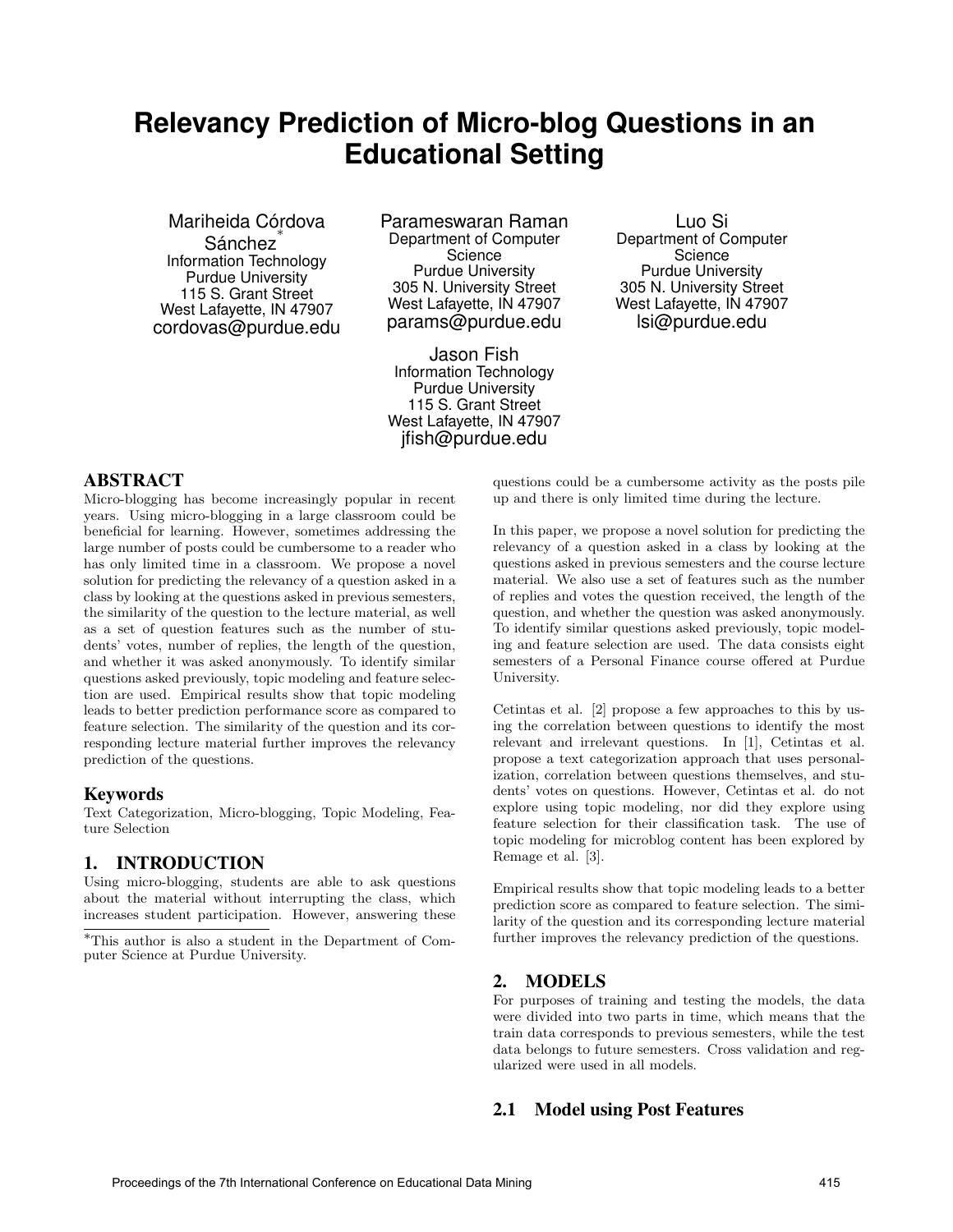# **Relevancy Prediction of Micro-blog Questions in an Educational Setting**

Mariheida Córdova Sánchez Information Technology Purdue University 115 S. Grant Street West Lafayette, IN 47907 cordovas@purdue.edu Parameswaran Raman Department of Computer Science Purdue University 305 N. University Street West Lafayette, IN 47907 params@purdue.edu

Jason Fish Information Technology Purdue University 115 S. Grant Street West Lafayette, IN 47907 jfish@purdue.edu

Luo Si Department of Computer **Science** Purdue University 305 N. University Street West Lafayette, IN 47907 lsi@purdue.edu

## ABSTRACT

Micro-blogging has become increasingly popular in recent years. Using micro-blogging in a large classroom could be beneficial for learning. However, sometimes addressing the large number of posts could be cumbersome to a reader who has only limited time in a classroom. We propose a novel solution for predicting the relevancy of a question asked in a class by looking at the questions asked in previous semesters, the similarity of the question to the lecture material, as well as a set of question features such as the number of students' votes, number of replies, the length of the question, and whether it was asked anonymously. To identify similar questions asked previously, topic modeling and feature selection are used. Empirical results show that topic modeling leads to better prediction performance score as compared to feature selection. The similarity of the question and its corresponding lecture material further improves the relevancy prediction of the questions.

#### Keywords

Text Categorization, Micro-blogging, Topic Modeling, Feature Selection

### 1. INTRODUCTION

Using micro-blogging, students are able to ask questions about the material without interrupting the class, which increases student participation. However, answering these

questions could be a cumbersome activity as the posts pile up and there is only limited time during the lecture.

In this paper, we propose a novel solution for predicting the relevancy of a question asked in a class by looking at the questions asked in previous semesters and the course lecture material. We also use a set of features such as the number of replies and votes the question received, the length of the question, and whether the question was asked anonymously. To identify similar questions asked previously, topic modeling and feature selection are used. The data consists eight semesters of a Personal Finance course offered at Purdue University.

Cetintas et al. [2] propose a few approaches to this by using the correlation between questions to identify the most relevant and irrelevant questions. In [1], Cetintas et al. propose a text categorization approach that uses personalization, correlation between questions themselves, and students' votes on questions. However, Cetintas et al. do not explore using topic modeling, nor did they explore using feature selection for their classification task. The use of topic modeling for microblog content has been explored by Remage et al. [3].

Empirical results show that topic modeling leads to a better prediction score as compared to feature selection. The similarity of the question and its corresponding lecture material further improves the relevancy prediction of the questions.

#### 2. MODELS

For purposes of training and testing the models, the data were divided into two parts in time, which means that the train data corresponds to previous semesters, while the test data belongs to future semesters. Cross validation and regularized were used in all models.

#### 2.1 Model using Post Features

<sup>∗</sup>This author is also a student in the Department of Computer Science at Purdue University.